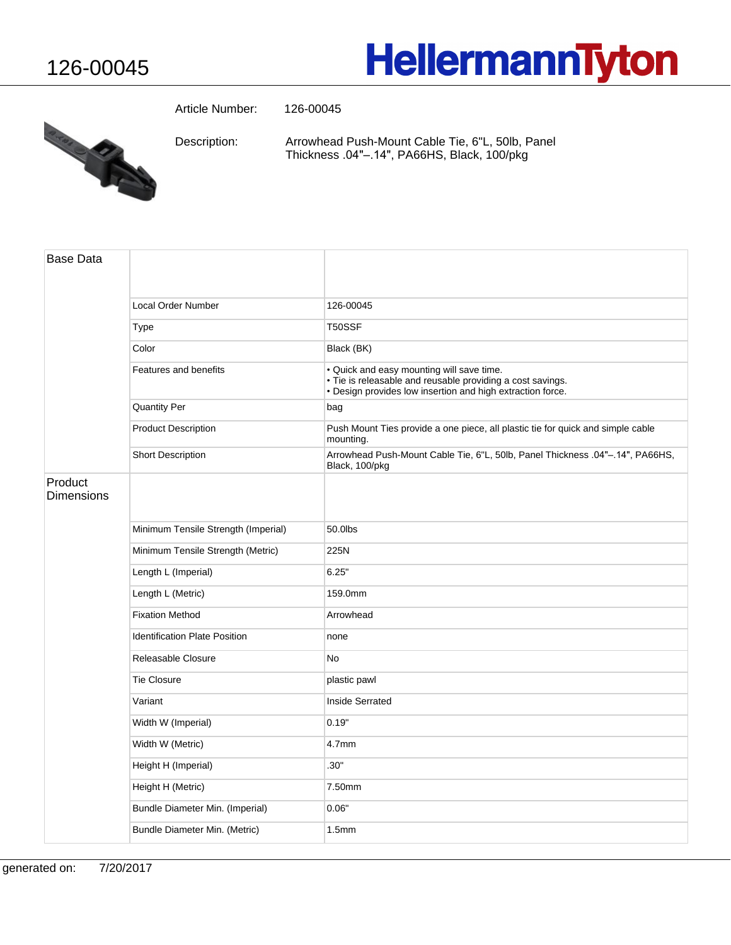## **HellermannTyton**



Article Number: 126-00045

Arrowhead Push-Mount Cable Tie, 6"L, 50lb, Panel Thickness .04"-.14", PA66HS, Black, 100/pkg Description:

| <b>Base Data</b>             |                                      |                                                                                                                                                                       |
|------------------------------|--------------------------------------|-----------------------------------------------------------------------------------------------------------------------------------------------------------------------|
|                              | <b>Local Order Number</b>            | 126-00045                                                                                                                                                             |
|                              | Type                                 | T50SSF                                                                                                                                                                |
|                              | Color                                | Black (BK)                                                                                                                                                            |
|                              | Features and benefits                | . Quick and easy mounting will save time.<br>· Tie is releasable and reusable providing a cost savings.<br>. Design provides low insertion and high extraction force. |
|                              | <b>Quantity Per</b>                  | bag                                                                                                                                                                   |
|                              | <b>Product Description</b>           | Push Mount Ties provide a one piece, all plastic tie for quick and simple cable<br>mounting.                                                                          |
|                              | <b>Short Description</b>             | Arrowhead Push-Mount Cable Tie, 6"L, 50lb, Panel Thickness .04"-.14", PA66HS,<br>Black, 100/pkg                                                                       |
| Product<br><b>Dimensions</b> |                                      |                                                                                                                                                                       |
|                              | Minimum Tensile Strength (Imperial)  | 50.0lbs                                                                                                                                                               |
|                              | Minimum Tensile Strength (Metric)    | 225N                                                                                                                                                                  |
|                              | Length L (Imperial)                  | 6.25"                                                                                                                                                                 |
|                              | Length L (Metric)                    | 159.0mm                                                                                                                                                               |
|                              | <b>Fixation Method</b>               | Arrowhead                                                                                                                                                             |
|                              | <b>Identification Plate Position</b> | none                                                                                                                                                                  |
|                              | Releasable Closure                   | No                                                                                                                                                                    |
|                              | <b>Tie Closure</b>                   | plastic pawl                                                                                                                                                          |
|                              | Variant                              | Inside Serrated                                                                                                                                                       |
|                              | Width W (Imperial)                   | 0.19"                                                                                                                                                                 |
|                              | Width W (Metric)                     | 4.7mm                                                                                                                                                                 |
|                              | Height H (Imperial)                  | .30"                                                                                                                                                                  |
|                              | Height H (Metric)                    | 7.50mm                                                                                                                                                                |
|                              | Bundle Diameter Min. (Imperial)      | 0.06"                                                                                                                                                                 |
|                              | Bundle Diameter Min. (Metric)        | 1.5 <sub>mm</sub>                                                                                                                                                     |